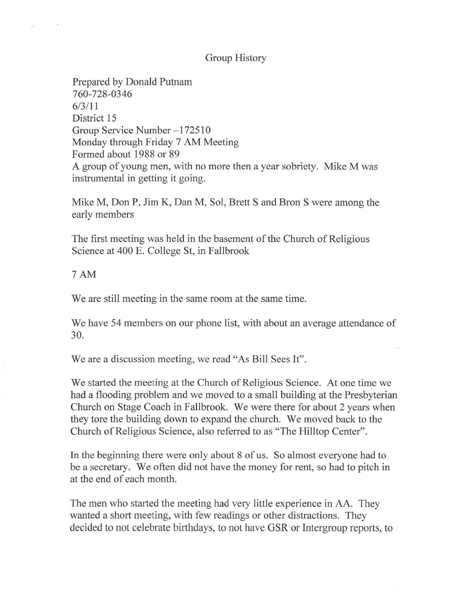## Group History

Prepared by Donald Putnam 760-728-0346 6/3111 District 15 Group Service Number -1 72510 Monday through Friday 7 AM Meeting Formed about 1988 or 89 A group of young men, with no more then a year sobriety. Mike M was instrumental in getting it going.

Mike M, Don P, Jim K, Dan M, Sol, Brett S and Bron S were among the early members

The first meeting was held in the basement of the Church of Religious Science at 400 E. College St, in Fallbrook

## 7AM

We are still meeting in the same room at the same time.

We have 54 members on our phone list, with about an average attendance of 30.

We are a discussion meeting, we read "As Bill Sees It".

We started the meeting at the Church of Religious Science. At one time we had a flooding problem and we moved to a small building at the Presbyterian Church on Stage Coach in Fallbrook. We were there for about 2 years when they tore the building down to expand the church. We moved back to the Church of Religious Science, also referred to as "The Hilltop Center".

In the beginning there were only about 8 of us. So almost everyone had to be a secretary. We often did not have the money for rent, so had to pitch in at the end of each month.

The men who started the meeting had very little experience in AA. They wanted a short meeting, with few readings or other distractions. They decided to not celebrate birthdays, to not have GSR or Intergroup reports, to